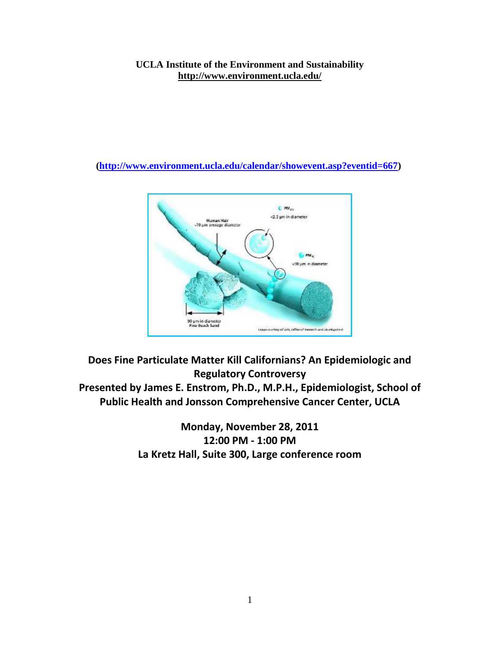## **UCLA Institute of the Environment and Sustainability <http://www.environment.ucla.edu/>**

**[\(http://www.environment.ucla.edu/calendar/showevent.asp?eventid=667\)](http://www.environment.ucla.edu/calendar/showevent.asp?eventid=667)**



**Does Fine Particulate Matter Kill Californians? An Epidemiologic and Regulatory Controversy Presented by James E. Enstrom, Ph.D., M.P.H., Epidemiologist, School of Public Health and Jonsson Comprehensive Cancer Center, UCLA**

> **Monday, November 28, 2011 12:00 PM - 1:00 PM La Kretz Hall, Suite 300, Large conference room**